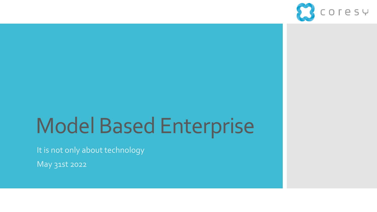

# Model Based Enterprise

It is not only about technology

May 31st 2022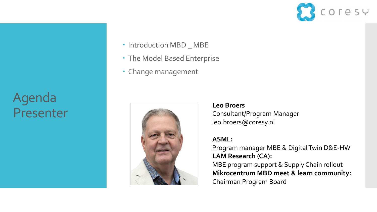Agenda Presenter

- Introduction MBD \_ MBE
- The Model Based Enterprise
- Change management



**Leo Broers** Consultant/Program Manager leo.broers@coresy.nl

#### **ASML:**

Program manager MBE & Digital Twin D&E-HW **LAM Research (CA):** MBE program support & Supply Chain rollout **Mikrocentrum MBD meet & learn community:** Chairman Program Board

OTESY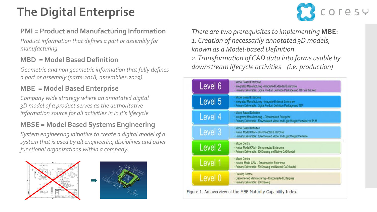## **The Digital Enterprise**



#### **PMI = Product and Manufacturing Information**

*Product information that defines a part or assembly for manufacturing*

#### **MBD = Model Based Definition**

*Geometric and non geometric information that fully defines a part or assembly (parts:2018, assemblies:2019)*

### **MBE = Model Based Enterprise**

*Company wide strategy where an annotated digital 3D model of a product serves as the authoritative information source for all activities in in it's lifecycle*

#### **MBSE = Model Based Systems Engineering**

*System engineering initiative to create a digital model of a system that is used by all engineering disciplines and other functional organizations within a company.*





*There are two prerequisites to implementing* **MBE**: *1. Creation of necessarily annotated 3D models, known as a Model-based Definition 2. Transformation of CAD data into forms usable by downstream lifecycle activities (i.e. production)*

| Level 6            | · Model Based Enterprise<br>· Integrated Manufacturing -Integrated Extended Enterprise<br>· Primary Deliverable: Digital Product Definition Package and TDP via the web |  |
|--------------------|-------------------------------------------------------------------------------------------------------------------------------------------------------------------------|--|
| Level 5            | · Model Based Enterprise<br>· Integrated Manufacturing -Integrated Internal Enterprise<br>· Primary Deliverable: Digital Product Definition Package and TDP.            |  |
| Level 4            | . Model Based Definition<br>· Integrated Manufacturing - Disconnected Enterprise<br>· Primary Deliverable: 3D Annotated Model and Light Weight Viewable via PLM         |  |
| Level 3            | · Model Based Definition<br>· Native Model CAM - Disconnected Enterprise<br>· Primary Deliverable: 3D Annotated Model and Light Weight Viewable                         |  |
| Level <sub>2</sub> | · Model Centric<br>· Native Model CAM - Disconnected Enterprise<br>· Primary Deliverable: 2D Drawing and Native CAD Model                                               |  |
| Level 1            | · Model Centric<br>· Neutral Model CAM - Disconnected Enterprise<br>· Primary Deliverable: 2D Drawing and Neutral CAD Model                                             |  |
| Level 0            | · Drawing Centric<br>· Disconnected Manufacturing - Disconnected Enterprise<br>· Primary Deliverable: 2D Drawing                                                        |  |

Figure 1. An overview of the MBE Maturity Capability Index.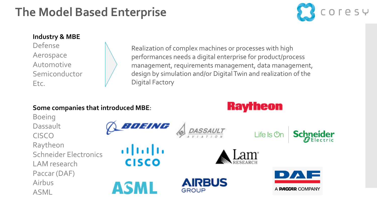### **The Model Based Enterprise** The Model Based Enterprise



#### **Industry & MBE**

Defense Aerospace Automotive Semiconductor Etc.

Boeing

CISCO

Airbus

ASML

**Dassault** 

Realization of complex machines or processes with high performances needs a digital enterprise for product/process management, requirements management, data management, design by simulation and/or Digital Twin and realization of the Digital Factory

**Raytheon** 

#### **Some companies that introduced MBE**:

BOEING **Schneider** Life Is **Un** Raytheon ahah Schneider Electronics **CISCO** LAM research Paccar (DAF) **AIRBUS** ASML A **PACCAR** COMPANY GROUP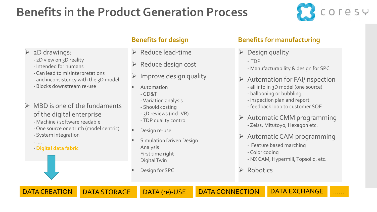### **Benefits in the Product Generation Process**



#### $\triangleright$  2D drawings:

- 2D view on 3D reality
- Intended for humans
- Can lead to misinterpretations
- and inconsistency with the 3D model
- Blocks downstream re-use
- $\triangleright$  MBD is one of the fundaments of the digital enterprise
	- Machine / software readable
	- One source one truth (model centric)
	- System integration

- **Digital data fabric**

- ….

- ➢ Reduce lead-time
- ➢ Reduce design cost
- $\triangleright$  Improve design quality
- Automation -GD&T
	- -Variation analysis
	- Should costing
	- 3D reviews (incl. VR)
	- -TDP quality control
- Design re-use
- **Simulation Driven Design** Analysis First time right Digital Twin
- Design for SPC

#### **Benefits for design Benefits for manufacturing**

- $\triangleright$  Design quality
	- TDP
	- Manufacturability & design for SPC
- $\triangleright$  Automation for FAI/inspection
	- all info in 3D model (one source)
	- ballooning or bubbling
	- inspection plan and report
	- feedback loop to customer SQE
- ➢ Automatic CMM programming - Zeiss, Mitutoyo, Hexagon etc.
- ➢ Automatic CAM programming
	- Feature based marching
	- Color coding
	- NX CAM, Hypermill, Topsolid, etc.
- ➢ Robotics
- DATA CREATION DATA STORAGE DATA (re)-USE DATA CONNECTION DATA EXCHANGE ……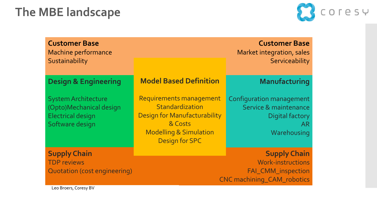### **The MBE landscape**



|                                     | <b>Customer Base</b><br>Machine performance<br>Sustainability                                        |                                                                                                                                              | <b>Customer Base</b><br>Market integration, sales<br>Serviceability                        |  |
|-------------------------------------|------------------------------------------------------------------------------------------------------|----------------------------------------------------------------------------------------------------------------------------------------------|--------------------------------------------------------------------------------------------|--|
|                                     |                                                                                                      | <b>Model Based Definition</b>                                                                                                                |                                                                                            |  |
|                                     | <b>Design &amp; Engineering</b>                                                                      |                                                                                                                                              | Manufacturing                                                                              |  |
|                                     | <b>System Architecture</b><br>(Opto)Mechanical design<br><b>Electrical design</b><br>Software design | Requirements management<br>Standardization<br>Design for Manufacturability<br>& Costs<br><b>Modelling &amp; Simulation</b><br>Design for SPC | Configuration management<br>Service & maintenance<br>Digital factory<br>AR.<br>Warehousing |  |
|                                     | <b>Supply Chain</b><br><b>TDP</b> reviews                                                            |                                                                                                                                              | <b>Supply Chain</b><br>Work-instructions                                                   |  |
| <b>Quotation (cost engineering)</b> |                                                                                                      | FAI_CMM_inspection<br><b>CNC machining_CAM_robotics</b>                                                                                      |                                                                                            |  |

Leo Broers, Coresy BV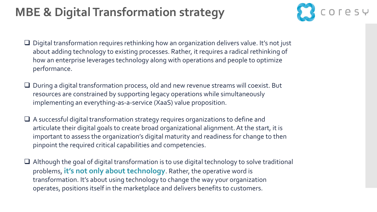### **MBE & Digital Transformation strategy**



- ❑ Digital transformation requires rethinking how an organization delivers value. It's not just about adding technology to existing processes. Rather, it requires a radical rethinking of how an enterprise leverages technology along with operations and people to optimize performance.
- ❑ During a digital transformation process, old and new revenue streams will coexist. But resources are constrained by supporting legacy operations while simultaneously implementing an everything-as-a-service (XaaS) value proposition.
- ❑ A successful digital transformation strategy requires organizations to define and articulate their digital goals to create broad organizational alignment. At the start, it is important to assess the organization's digital maturity and readiness for change to then pinpoint the required critical capabilities and competencies.
- ❑ Although the goal of digital transformation is to use digital technology to solve traditional problems, **it's not only about technology**. Rather, the operative word is transformation. It's about using technology to change the way your organization operates, positions itself in the marketplace and delivers benefits to customers.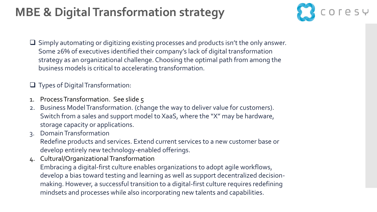### **MBE & Digital Transformation strategy**



- ❑ Simply automating or digitizing existing processes and products isn't the only answer. Some 26% of executives identified their company's lack of digital transformation strategy as an organizational challenge. Choosing the optimal path from among the business models is critical to accelerating transformation.
- ❑ Types of Digital Transformation:
- 1. Process Transformation. See slide 5
- 2. Business Model Transformation. (change the way to deliver value for customers). Switch from a sales and support model to XaaS, where the "X" may be hardware, storage capacity or applications.
- 3. Domain Transformation
- Redefine products and services. Extend current services to a new customer base or develop entirely new technology-enabled offerings.
- 4. Cultural/Organizational Transformation Embracing a digital-first culture enables organizations to adopt agile workflows, develop a bias toward testing and learning as well as support decentralized decisionmaking. However, a successful transition to a digital-first culture requires redefining mindsets and processes while also incorporating new talents and capabilities.